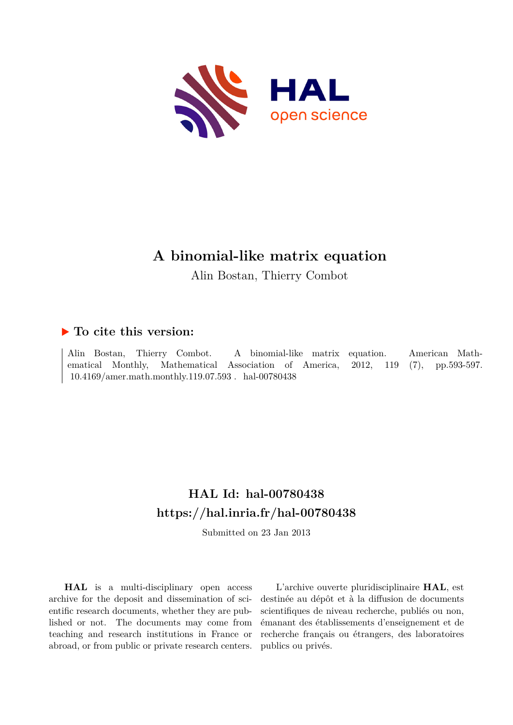

# **A binomial-like matrix equation**

Alin Bostan, Thierry Combot

## **To cite this version:**

Alin Bostan, Thierry Combot. A binomial-like matrix equation. American Mathematical Monthly, Mathematical Association of America, 2012, 119 (7), pp.593-597.  $10.4169/amer.math.monthly.119.07.593$ . hal-00780438

## **HAL Id: hal-00780438 <https://hal.inria.fr/hal-00780438>**

Submitted on 23 Jan 2013

**HAL** is a multi-disciplinary open access archive for the deposit and dissemination of scientific research documents, whether they are published or not. The documents may come from teaching and research institutions in France or abroad, or from public or private research centers.

L'archive ouverte pluridisciplinaire **HAL**, est destinée au dépôt et à la diffusion de documents scientifiques de niveau recherche, publiés ou non, émanant des établissements d'enseignement et de recherche français ou étrangers, des laboratoires publics ou privés.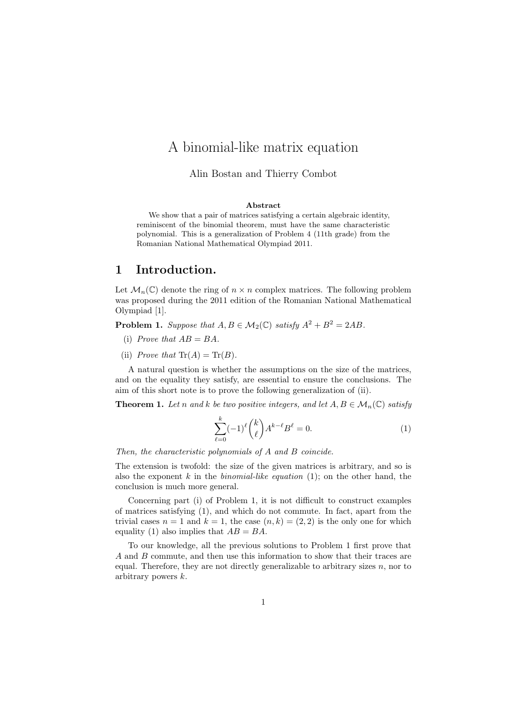## A binomial-like matrix equation

#### Alin Bostan and Thierry Combot

#### Abstract

We show that a pair of matrices satisfying a certain algebraic identity, reminiscent of the binomial theorem, must have the same characteristic polynomial. This is a generalization of Problem 4 (11th grade) from the Romanian National Mathematical Olympiad 2011.

### 1 Introduction.

Let  $\mathcal{M}_n(\mathbb{C})$  denote the ring of  $n \times n$  complex matrices. The following problem was proposed during the 2011 edition of the Romanian National Mathematical Olympiad [1].

**Problem 1.** Suppose that  $A, B \in M_2(\mathbb{C})$  satisfy  $A^2 + B^2 = 2AB$ .

- (i) Prove that  $AB = BA$ .
- (ii) Prove that  $\text{Tr}(A) = \text{Tr}(B)$ .

A natural question is whether the assumptions on the size of the matrices, and on the equality they satisfy, are essential to ensure the conclusions. The aim of this short note is to prove the following generalization of (ii).

**Theorem 1.** Let n and k be two positive integers, and let  $A, B \in \mathcal{M}_n(\mathbb{C})$  satisfy

$$
\sum_{\ell=0}^{k}(-1)^{\ell}\binom{k}{\ell}A^{k-\ell}B^{\ell}=0.
$$
 (1)

Then, the characteristic polynomials of A and B coincide.

The extension is twofold: the size of the given matrices is arbitrary, and so is also the exponent k in the *binomial-like equation* (1); on the other hand, the conclusion is much more general.

Concerning part (i) of Problem 1, it is not difficult to construct examples of matrices satisfying (1), and which do not commute. In fact, apart from the trivial cases  $n = 1$  and  $k = 1$ , the case  $(n, k) = (2, 2)$  is the only one for which equality (1) also implies that  $AB = BA$ .

To our knowledge, all the previous solutions to Problem 1 first prove that A and B commute, and then use this information to show that their traces are equal. Therefore, they are not directly generalizable to arbitrary sizes  $n$ , nor to arbitrary powers k.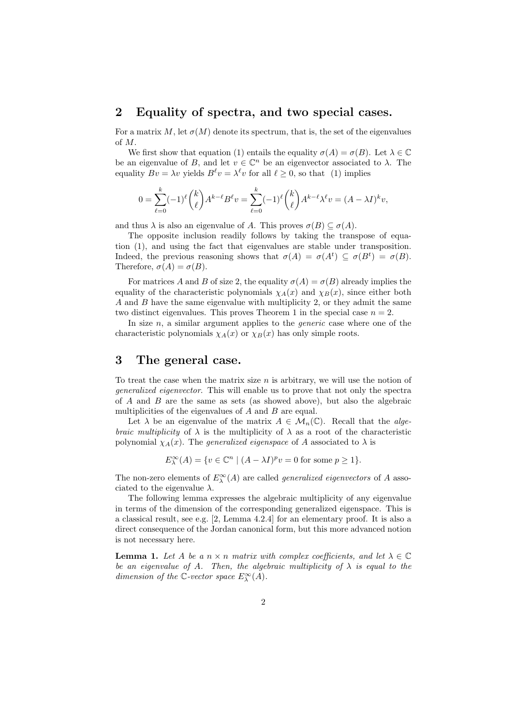#### 2 Equality of spectra, and two special cases.

For a matrix M, let  $\sigma(M)$  denote its spectrum, that is, the set of the eigenvalues of M.

We first show that equation (1) entails the equality  $\sigma(A) = \sigma(B)$ . Let  $\lambda \in \mathbb{C}$ be an eigenvalue of B, and let  $v \in \mathbb{C}^n$  be an eigenvector associated to  $\lambda$ . The equality  $Bv = \lambda v$  yields  $B^{\ell}v = \lambda^{\ell}v$  for all  $\ell \geq 0$ , so that (1) implies

$$
0 = \sum_{\ell=0}^{k} (-1)^{\ell} {k \choose \ell} A^{k-\ell} B^{\ell} v = \sum_{\ell=0}^{k} (-1)^{\ell} {k \choose \ell} A^{k-\ell} \lambda^{\ell} v = (A - \lambda I)^{k} v,
$$

and thus  $\lambda$  is also an eigenvalue of A. This proves  $\sigma(B) \subseteq \sigma(A)$ .

The opposite inclusion readily follows by taking the transpose of equation (1), and using the fact that eigenvalues are stable under transposition. Indeed, the previous reasoning shows that  $\sigma(A) = \sigma(A^t) \subseteq \sigma(B^t) = \sigma(B)$ . Therefore,  $\sigma(A) = \sigma(B)$ .

For matrices A and B of size 2, the equality  $\sigma(A) = \sigma(B)$  already implies the equality of the characteristic polynomials  $\chi_A(x)$  and  $\chi_B(x)$ , since either both A and B have the same eigenvalue with multiplicity 2, or they admit the same two distinct eigenvalues. This proves Theorem 1 in the special case  $n = 2$ .

In size  $n$ , a similar argument applies to the *generic* case where one of the characteristic polynomials  $\chi_A(x)$  or  $\chi_B(x)$  has only simple roots.

#### 3 The general case.

To treat the case when the matrix size  $n$  is arbitrary, we will use the notion of generalized eigenvector. This will enable us to prove that not only the spectra of A and B are the same as sets (as showed above), but also the algebraic multiplicities of the eigenvalues of  $A$  and  $B$  are equal.

Let  $\lambda$  be an eigenvalue of the matrix  $A \in \mathcal{M}_n(\mathbb{C})$ . Recall that the algebraic multiplicity of  $\lambda$  is the multiplicity of  $\lambda$  as a root of the characteristic polynomial  $\chi_A(x)$ . The *generalized eigenspace* of A associated to  $\lambda$  is

$$
E^{\infty}_{\lambda}(A) = \{ v \in \mathbb{C}^n \mid (A - \lambda I)^p v = 0 \text{ for some } p \ge 1 \}.
$$

The non-zero elements of  $E_{\lambda}^{\infty}(A)$  are called *generalized eigenvectors* of A associated to the eigenvalue  $\lambda$ .

The following lemma expresses the algebraic multiplicity of any eigenvalue in terms of the dimension of the corresponding generalized eigenspace. This is a classical result, see e.g. [2, Lemma 4.2.4] for an elementary proof. It is also a direct consequence of the Jordan canonical form, but this more advanced notion is not necessary here.

**Lemma 1.** Let A be a  $n \times n$  matrix with complex coefficients, and let  $\lambda \in \mathbb{C}$ be an eigenvalue of A. Then, the algebraic multiplicity of  $\lambda$  is equal to the dimension of the  $\mathbb{C}\text{-vector space } E^{\infty}_{\lambda}(A)$ .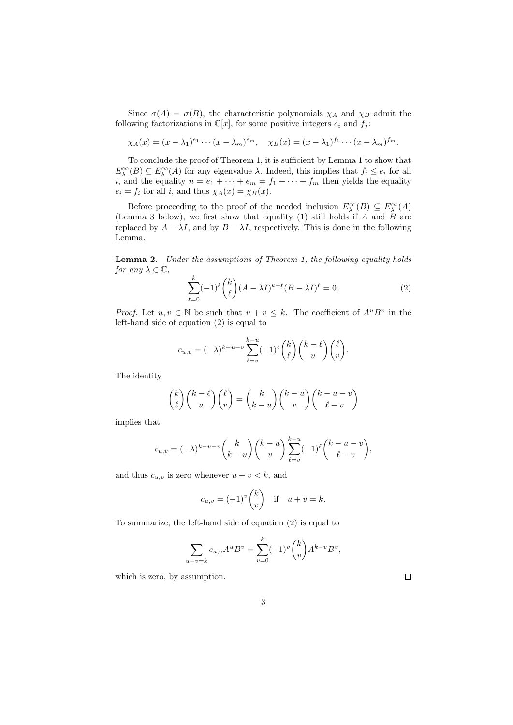Since  $\sigma(A) = \sigma(B)$ , the characteristic polynomials  $\chi_A$  and  $\chi_B$  admit the following factorizations in  $\mathbb{C}[x]$ , for some positive integers  $e_i$  and  $f_j$ :

$$
\chi_A(x) = (x - \lambda_1)^{e_1} \cdots (x - \lambda_m)^{e_m}, \quad \chi_B(x) = (x - \lambda_1)^{f_1} \cdots (x - \lambda_m)^{f_m}.
$$

To conclude the proof of Theorem 1, it is sufficient by Lemma 1 to show that  $E_{\lambda}^{\infty}(B) \subseteq E_{\lambda}^{\infty}(A)$  for any eigenvalue  $\lambda$ . Indeed, this implies that  $f_i \leq e_i$  for all *i*, and the equality  $n = e_1 + \cdots + e_m = f_1 + \cdots + f_m$  then yields the equality  $e_i = f_i$  for all i, and thus  $\chi_A(x) = \chi_B(x)$ .

Before proceeding to the proof of the needed inclusion  $E^{\infty}_{\lambda}(B) \subseteq E^{\infty}_{\lambda}(A)$ (Lemma 3 below), we first show that equality  $(1)$  still holds if A and B are replaced by  $A - \lambda I$ , and by  $B - \lambda I$ , respectively. This is done in the following Lemma.

Lemma 2. Under the assumptions of Theorem 1, the following equality holds for any  $\lambda \in \mathbb{C}$ ,

$$
\sum_{\ell=0}^{k}(-1)^{\ell}\binom{k}{\ell}(A-\lambda I)^{k-\ell}(B-\lambda I)^{\ell}=0.
$$
\n(2)

*Proof.* Let  $u, v \in \mathbb{N}$  be such that  $u + v \leq k$ . The coefficient of  $A^u B^v$  in the left-hand side of equation (2) is equal to

$$
c_{u,v} = (-\lambda)^{k-u-v} \sum_{\ell=v}^{k-u} (-1)^{\ell} {k \choose \ell} {k-\ell \choose u} { \ell \choose v}.
$$

The identity

$$
\binom{k}{\ell}\binom{k-\ell}{u}\binom{\ell}{v} = \binom{k}{k-u}\binom{k-u}{v}\binom{k-u-v}{\ell-v}
$$

implies that

$$
c_{u,v}=(-\lambda)^{k-u-v}\binom{k}{k-u}\binom{k-u}{v}\sum_{\ell=v}^{k-u}(-1)^{\ell}\binom{k-u-v}{\ell-v},
$$

and thus  $c_{u,v}$  is zero whenever  $u + v < k$ , and

$$
c_{u,v} = (-1)^v \binom{k}{v} \quad \text{if} \quad u+v=k.
$$

To summarize, the left-hand side of equation (2) is equal to

$$
\sum_{u+v=k} c_{u,v} A^u B^v = \sum_{v=0}^k (-1)^v \binom{k}{v} A^{k-v} B^v,
$$

which is zero, by assumption.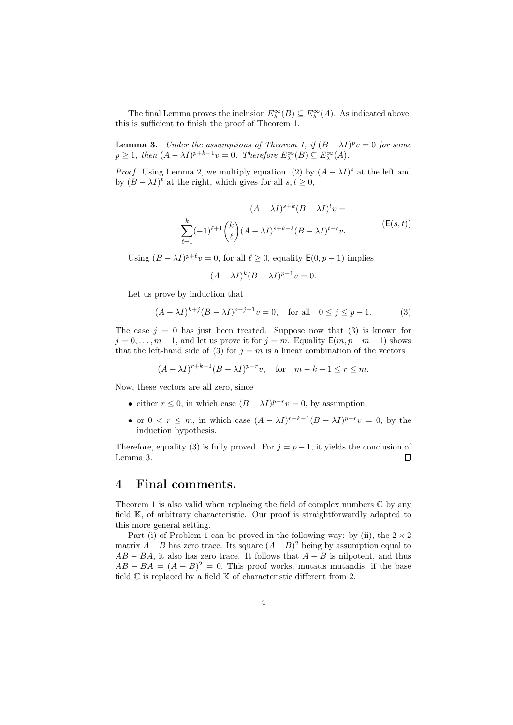The final Lemma proves the inclusion  $E_{\lambda}^{\infty}(B) \subseteq E_{\lambda}^{\infty}(A)$ . As indicated above, this is sufficient to finish the proof of Theorem 1.

**Lemma 3.** Under the assumptions of Theorem 1, if  $(B - \lambda I)^p v = 0$  for some  $p \geq 1$ , then  $(A - \lambda I)^{p+k-1}v = 0$ . Therefore  $E_{\lambda}^{\infty}(B) \subseteq E_{\lambda}^{\infty}(A)$ .

*Proof.* Using Lemma 2, we multiply equation (2) by  $(A - \lambda I)^s$  at the left and by  $(B - \lambda I)^t$  at the right, which gives for all  $s, t \geq 0$ ,

$$
(A - \lambda I)^{s+k} (B - \lambda I)^t v =
$$
  

$$
\sum_{\ell=1}^k (-1)^{\ell+1} \binom{k}{\ell} (A - \lambda I)^{s+k-\ell} (B - \lambda I)^{t+\ell} v.
$$
 (E(s, t))

Using  $(B - \lambda I)^{p+\ell}v = 0$ , for all  $\ell \geq 0$ , equality  $\mathsf{E}(0, p-1)$  implies

$$
(A - \lambda I)^k (B - \lambda I)^{p-1} v = 0.
$$

Let us prove by induction that

$$
(A - \lambda I)^{k+j} (B - \lambda I)^{p-j-1} v = 0
$$
, for all  $0 \le j \le p - 1$ . (3)

The case  $j = 0$  has just been treated. Suppose now that (3) is known for  $j = 0, \ldots, m - 1$ , and let us prove it for  $j = m$ . Equality  $E(m, p - m - 1)$  shows that the left-hand side of (3) for  $j = m$  is a linear combination of the vectors

$$
(A - \lambda I)^{r+k-1}(B - \lambda I)^{p-r}v
$$
, for  $m - k + 1 \le r \le m$ .

Now, these vectors are all zero, since

- either  $r \leq 0$ , in which case  $(B \lambda I)^{p-r}v = 0$ , by assumption,
- or  $0 < r \leq m$ , in which case  $(A \lambda I)^{r+k-1}(B \lambda I)^{p-r}v = 0$ , by the induction hypothesis.

Therefore, equality (3) is fully proved. For  $j = p - 1$ , it yields the conclusion of Lemma 3.  $\Box$ 

#### 4 Final comments.

Theorem 1 is also valid when replacing the field of complex numbers  $\mathbb C$  by any field K, of arbitrary characteristic. Our proof is straightforwardly adapted to this more general setting.

Part (i) of Problem 1 can be proved in the following way: by (ii), the  $2 \times 2$ matrix  $A - B$  has zero trace. Its square  $(A - B)^2$  being by assumption equal to  $AB - BA$ , it also has zero trace. It follows that  $A - B$  is nilpotent, and thus  $AB - BA = (A - B)^2 = 0$ . This proof works, mutatis mutandis, if the base field  $\mathbb C$  is replaced by a field  $\mathbb K$  of characteristic different from 2.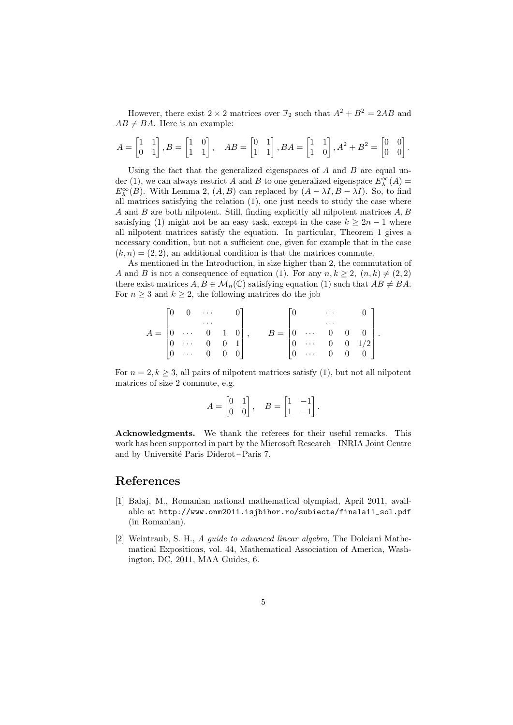However, there exist  $2 \times 2$  matrices over  $\mathbb{F}_2$  such that  $A^2 + B^2 = 2AB$  and  $AB \neq BA$ . Here is an example:

$$
A = \begin{bmatrix} 1 & 1 \\ 0 & 1 \end{bmatrix}, B = \begin{bmatrix} 1 & 0 \\ 1 & 1 \end{bmatrix}, \quad AB = \begin{bmatrix} 0 & 1 \\ 1 & 1 \end{bmatrix}, BA = \begin{bmatrix} 1 & 1 \\ 1 & 0 \end{bmatrix}, A^2 + B^2 = \begin{bmatrix} 0 & 0 \\ 0 & 0 \end{bmatrix}.
$$

Using the fact that the generalized eigenspaces of  $A$  and  $B$  are equal under (1), we can always restrict A and B to one generalized eigenspace  $E^{\infty}_{\lambda}(A)$  =  $E_{\lambda}^{\infty}(B)$ . With Lemma 2,  $(A, B)$  can replaced by  $(A - \lambda I, B - \lambda I)$ . So, to find all matrices satisfying the relation (1), one just needs to study the case where A and B are both nilpotent. Still, finding explicitly all nilpotent matrices A, B satisfying (1) might not be an easy task, except in the case  $k \geq 2n-1$  where all nilpotent matrices satisfy the equation. In particular, Theorem 1 gives a necessary condition, but not a sufficient one, given for example that in the case  $(k, n) = (2, 2)$ , an additional condition is that the matrices commute.

As mentioned in the Introduction, in size higher than 2, the commutation of A and B is not a consequence of equation (1). For any  $n, k \geq 2, (n, k) \neq (2, 2)$ there exist matrices  $A, B \in \mathcal{M}_n(\mathbb{C})$  satisfying equation (1) such that  $AB \neq BA$ . For  $n \geq 3$  and  $k \geq 2$ , the following matrices do the job

$$
A = \begin{bmatrix} 0 & 0 & \cdots & & 0 \\ & & \cdots & & 0 \\ 0 & \cdots & 0 & 1 & 0 \\ 0 & \cdots & 0 & 0 & 1 \\ 0 & \cdots & 0 & 0 & 0 \end{bmatrix}, \qquad B = \begin{bmatrix} 0 & & \cdots & & 0 \\ & & \cdots & & 0 \\ 0 & \cdots & 0 & 0 & 0 \\ 0 & \cdots & 0 & 0 & 1/2 \\ 0 & \cdots & 0 & 0 & 0 \end{bmatrix}.
$$

For  $n = 2, k \geq 3$ , all pairs of nilpotent matrices satisfy (1), but not all nilpotent matrices of size 2 commute, e.g.

$$
A = \begin{bmatrix} 0 & 1 \\ 0 & 0 \end{bmatrix}, \quad B = \begin{bmatrix} 1 & -1 \\ 1 & -1 \end{bmatrix}.
$$

Acknowledgments. We thank the referees for their useful remarks. This work has been supported in part by the Microsoft Research – INRIA Joint Centre and by Université Paris Diderot – Paris 7.

#### References

- [1] Balaj, M., Romanian national mathematical olympiad, April 2011, available at http://www.onm2011.isjbihor.ro/subiecte/finala11\_sol.pdf (in Romanian).
- [2] Weintraub, S. H., A guide to advanced linear algebra, The Dolciani Mathematical Expositions, vol. 44, Mathematical Association of America, Washington, DC, 2011, MAA Guides, 6.